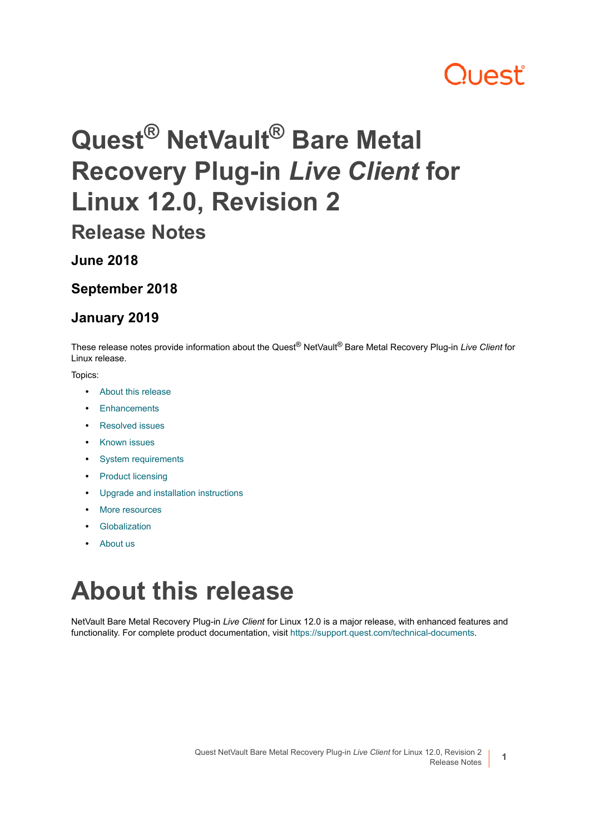## **Quest**

# **Quest® NetVault® Bare Metal Recovery Plug-in** *Live Client* **for Linux 12.0, Revision 2**

**Release Notes**

**June 2018**

**September 2018**

#### **January 2019**

These release notes provide information about the Quest® NetVault® Bare Metal Recovery Plug-in *Live Client* for Linux release.

#### Topics:

- **•** [About this release](#page-0-0)
- **•** [Enhancements](#page-1-0)
- **•** [Resolved issues](#page-1-1)
- **•** [Known issues](#page-2-0)
- **•** [System requirements](#page-3-0)
- **•** [Product licensing](#page-3-1)
- **•** [Upgrade and installation instructions](#page-4-0)
- **•** [More resources](#page-5-0)
- **•** [Globalization](#page-5-1)
- **•** [About us](#page-5-2)

## <span id="page-0-0"></span>**About this release**

NetVault Bare Metal Recovery Plug-in *Live Client* for Linux 12.0 is a major release, with enhanced features and functionality. For complete product documentation, visit [https://support.quest.com/technical-documents.](https://support.quest.com/technical-documents)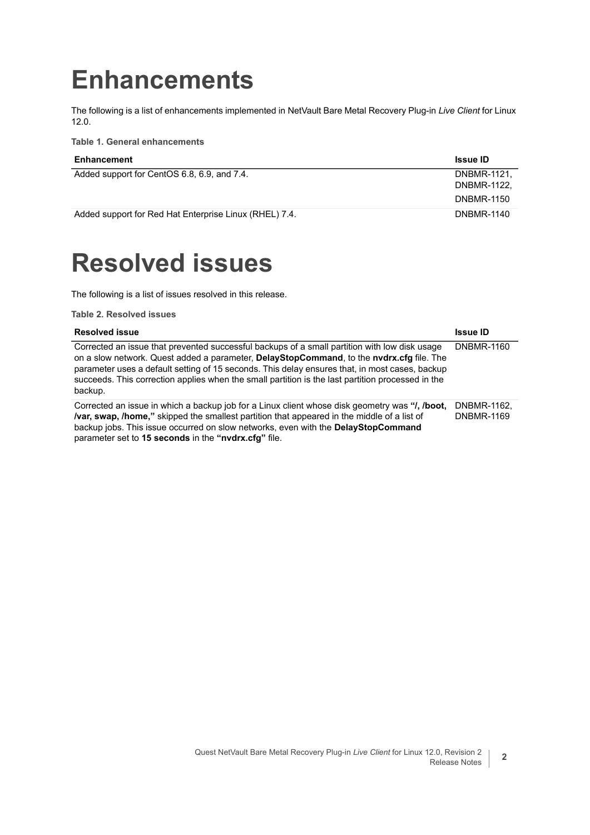### <span id="page-1-0"></span>**Enhancements**

The following is a list of enhancements implemented in NetVault Bare Metal Recovery Plug-in *Live Client* for Linux 12.0.

**Table 1. General enhancements**

| Enhancement                                            | <b>Issue ID</b>   |
|--------------------------------------------------------|-------------------|
| Added support for CentOS 6.8, 6.9, and 7.4.            | DNBMR-1121.       |
|                                                        | DNBMR-1122.       |
|                                                        | <b>DNBMR-1150</b> |
| Added support for Red Hat Enterprise Linux (RHEL) 7.4. | <b>DNBMR-1140</b> |

### <span id="page-1-1"></span>**Resolved issues**

The following is a list of issues resolved in this release.

**Table 2. Resolved issues**

| <b>Resolved issue</b>                                                                                                                                                                                                                                                                                                                                                                                       | <b>Issue ID</b>                  |
|-------------------------------------------------------------------------------------------------------------------------------------------------------------------------------------------------------------------------------------------------------------------------------------------------------------------------------------------------------------------------------------------------------------|----------------------------------|
| Corrected an issue that prevented successful backups of a small partition with low disk usage<br>on a slow network. Quest added a parameter, DelayStopCommand, to the nvdrx.cfg file. The<br>parameter uses a default setting of 15 seconds. This delay ensures that, in most cases, backup<br>succeeds. This correction applies when the small partition is the last partition processed in the<br>backup. | <b>DNBMR-1160</b>                |
| Corrected an issue in which a backup job for a Linux client whose disk geometry was "I, /boot,<br><b>/var, swap, /home,</b> " skipped the smallest partition that appeared in the middle of a list of<br>backup jobs. This issue occurred on slow networks, even with the DelayStopCommand<br>parameter set to 15 seconds in the "nydrx.cfq" file.                                                          | DNBMR-1162.<br><b>DNBMR-1169</b> |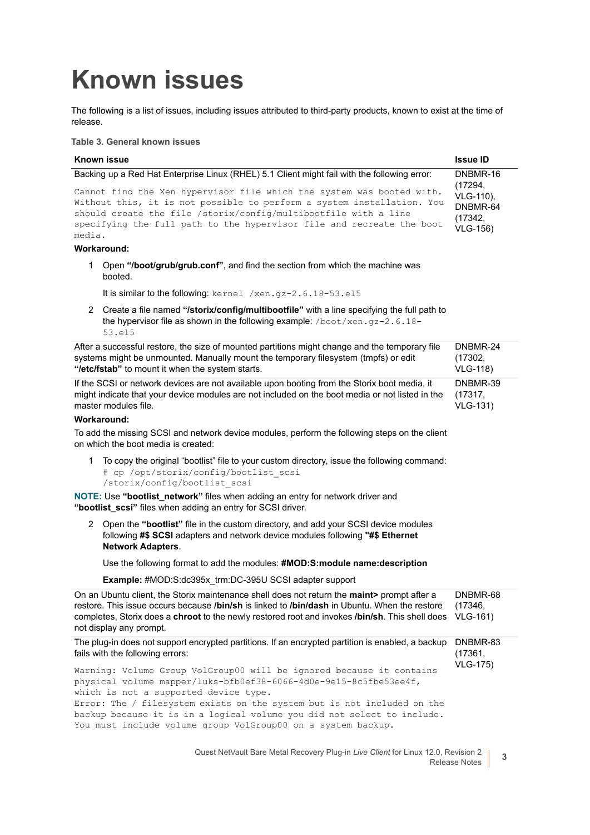## <span id="page-2-0"></span>**Known issues**

The following is a list of issues, including issues attributed to third-party products, known to exist at the time of release.

**Table 3. General known issues**

| Known issue                                                                                                                                                                                                                                                                                           | <b>Issue ID</b>                                     |
|-------------------------------------------------------------------------------------------------------------------------------------------------------------------------------------------------------------------------------------------------------------------------------------------------------|-----------------------------------------------------|
| Backing up a Red Hat Enterprise Linux (RHEL) 5.1 Client might fail with the following error:                                                                                                                                                                                                          | DNBMR-16<br>(17294,                                 |
| Cannot find the Xen hypervisor file which the system was booted with.<br>Without this, it is not possible to perform a system installation. You<br>should create the file /storix/config/multibootfile with a line<br>specifying the full path to the hypervisor file and recreate the boot<br>media. | VLG-110).<br>DNBMR-64<br>(17342,<br><b>VLG-156)</b> |
|                                                                                                                                                                                                                                                                                                       |                                                     |

#### **Workaround:**

1 Open **"/boot/grub/grub.conf"**, and find the section from which the machine was booted.

It is similar to the following: kernel /xen.gz-2.6.18-53.el5

2 Create a file named **"/storix/config/multibootfile"** with a line specifying the full path to the hypervisor file as shown in the following example: /boot/xen.gz-2.6.18-53.el5

After a successful restore, the size of mounted partitions might change and the temporary file systems might be unmounted. Manually mount the temporary filesystem (tmpfs) or edit **"/etc/fstab"** to mount it when the system starts. DNBMR-24 (17302, VLG-118)

If the SCSI or network devices are not available upon booting from the Storix boot media, it might indicate that your device modules are not included on the boot media or not listed in the master modules file. DNBMR-39 (17317, VLG-131)

#### **Workaround:**

To add the missing SCSI and network device modules, perform the following steps on the client on which the boot media is created:

1 To copy the original "bootlist" file to your custom directory, issue the following command: # cp /opt/storix/config/bootlist\_scsi /storix/config/bootlist\_scsi

**NOTE: Use "bootlist network"** files when adding an entry for network driver and "bootlist scsi" files when adding an entry for SCSI driver.

2 Open the **"bootlist"** file in the custom directory, and add your SCSI device modules following **#\$ SCSI** adapters and network device modules following **"#\$ Ethernet Network Adapters**.

Use the following format to add the modules: **#MOD:S:module name:description**

**Example:** #MOD:S:dc395x\_trm:DC-395U SCSI adapter support

| On an Ubuntu client, the Storix maintenance shell does not return the maint > prompt after a<br>restore. This issue occurs because /bin/sh is linked to /bin/dash in Ubuntu. When the restore<br>completes, Storix does a <b>chroot</b> to the newly restored root and invokes <b>/bin/sh</b> . This shell does<br>not display any prompt.                                                               | DNBMR-68<br>(17346,<br><b>VLG-161)</b> |
|----------------------------------------------------------------------------------------------------------------------------------------------------------------------------------------------------------------------------------------------------------------------------------------------------------------------------------------------------------------------------------------------------------|----------------------------------------|
| The plug-in does not support encrypted partitions. If an encrypted partition is enabled, a backup<br>fails with the following errors:                                                                                                                                                                                                                                                                    | DNBMR-83<br>(17361,<br><b>VLG-175)</b> |
| Warning: Volume Group VolGroup00 will be ignored because it contains<br>physical volume mapper/luks-bfb0ef38-6066-4d0e-9e15-8c5fbe53ee4f,<br>which is not a supported device type.<br>Error: The / filesystem exists on the system but is not included on the<br>backup because it is in a logical volume you did not select to include.<br>You must include volume group VolGroup00 on a system backup. |                                        |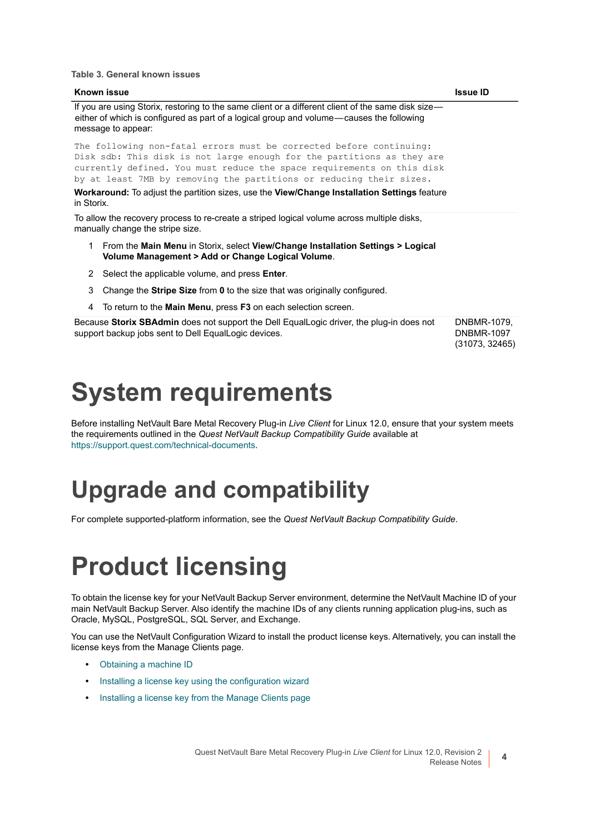**Table 3. General known issues**

| <b>Known issue</b>                                                                                                                                                                                                                                                                                                                                                                                           | <b>Issue ID</b>                  |
|--------------------------------------------------------------------------------------------------------------------------------------------------------------------------------------------------------------------------------------------------------------------------------------------------------------------------------------------------------------------------------------------------------------|----------------------------------|
| If you are using Storix, restoring to the same client or a different client of the same disk size—<br>either of which is configured as part of a logical group and volume—causes the following<br>message to appear:                                                                                                                                                                                         |                                  |
| The following non-fatal errors must be corrected before continuing:<br>Disk sdb: This disk is not large enough for the partitions as they are<br>currently defined. You must reduce the space requirements on this disk<br>by at least 7MB by removing the partitions or reducing their sizes.<br>Workaround: To adjust the partition sizes, use the View/Change Installation Settings feature<br>in Storix. |                                  |
| To allow the recovery process to re-create a striped logical volume across multiple disks,<br>manually change the stripe size.                                                                                                                                                                                                                                                                               |                                  |
| From the Main Menu in Storix, select View/Change Installation Settings > Logical<br>1.<br>Volume Management > Add or Change Logical Volume.                                                                                                                                                                                                                                                                  |                                  |
| Select the applicable volume, and press Enter.<br>2                                                                                                                                                                                                                                                                                                                                                          |                                  |
| Change the Stripe Size from 0 to the size that was originally configured.<br>3                                                                                                                                                                                                                                                                                                                               |                                  |
| To return to the Main Menu, press F3 on each selection screen.<br>4                                                                                                                                                                                                                                                                                                                                          |                                  |
| Because Storix SBAdmin does not support the Dell EqualLogic driver, the plug-in does not<br>support backup jobs sent to Dell EqualLogic devices.                                                                                                                                                                                                                                                             | DNBMR-1079.<br><b>DNBMR-1097</b> |

(31073, 32465)

### <span id="page-3-0"></span>**System requirements**

Before installing NetVault Bare Metal Recovery Plug-in *Live Client* for Linux 12.0, ensure that your system meets the requirements outlined in the *Quest NetVault Backup Compatibility Guide* available at [https://support.quest.com/technical-documents.](https://support.quest.com/technical-documents)

### **Upgrade and compatibility**

For complete supported-platform information, see the *Quest NetVault Backup Compatibility Guide*.

## <span id="page-3-1"></span>**Product licensing**

To obtain the license key for your NetVault Backup Server environment, determine the NetVault Machine ID of your main NetVault Backup Server. Also identify the machine IDs of any clients running application plug-ins, such as Oracle, MySQL, PostgreSQL, SQL Server, and Exchange.

You can use the NetVault Configuration Wizard to install the product license keys. Alternatively, you can install the license keys from the Manage Clients page.

- **•** [Obtaining a machine ID](#page-4-1)
- **•** [Installing a license key using the configuration wizard](#page-4-2)
- **•** [Installing a license key from the Manage Clients page](#page-4-3)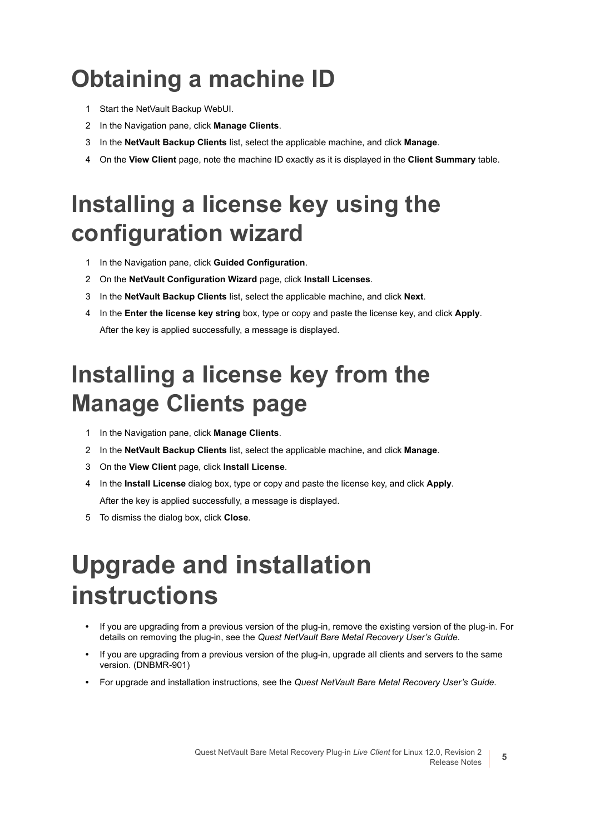## <span id="page-4-1"></span>**Obtaining a machine ID**

- 1 Start the NetVault Backup WebUI.
- 2 In the Navigation pane, click **Manage Clients**.
- 3 In the **NetVault Backup Clients** list, select the applicable machine, and click **Manage**.
- 4 On the **View Client** page, note the machine ID exactly as it is displayed in the **Client Summary** table.

### <span id="page-4-2"></span>**Installing a license key using the configuration wizard**

- 1 In the Navigation pane, click **Guided Configuration**.
- 2 On the **NetVault Configuration Wizard** page, click **Install Licenses**.
- 3 In the **NetVault Backup Clients** list, select the applicable machine, and click **Next**.
- 4 In the **Enter the license key string** box, type or copy and paste the license key, and click **Apply**. After the key is applied successfully, a message is displayed.

### <span id="page-4-3"></span>**Installing a license key from the Manage Clients page**

- 1 In the Navigation pane, click **Manage Clients**.
- 2 In the **NetVault Backup Clients** list, select the applicable machine, and click **Manage**.
- 3 On the **View Client** page, click **Install License**.
- 4 In the **Install License** dialog box, type or copy and paste the license key, and click **Apply**. After the key is applied successfully, a message is displayed.
- 5 To dismiss the dialog box, click **Close**.

## <span id="page-4-0"></span>**Upgrade and installation instructions**

- **•** If you are upgrading from a previous version of the plug-in, remove the existing version of the plug-in. For details on removing the plug-in, see the *Quest NetVault Bare Metal Recovery User's Guide*.
- **•** If you are upgrading from a previous version of the plug-in, upgrade all clients and servers to the same version. (DNBMR-901)
- **•** For upgrade and installation instructions, see the *Quest NetVault Bare Metal Recovery User's Guide*.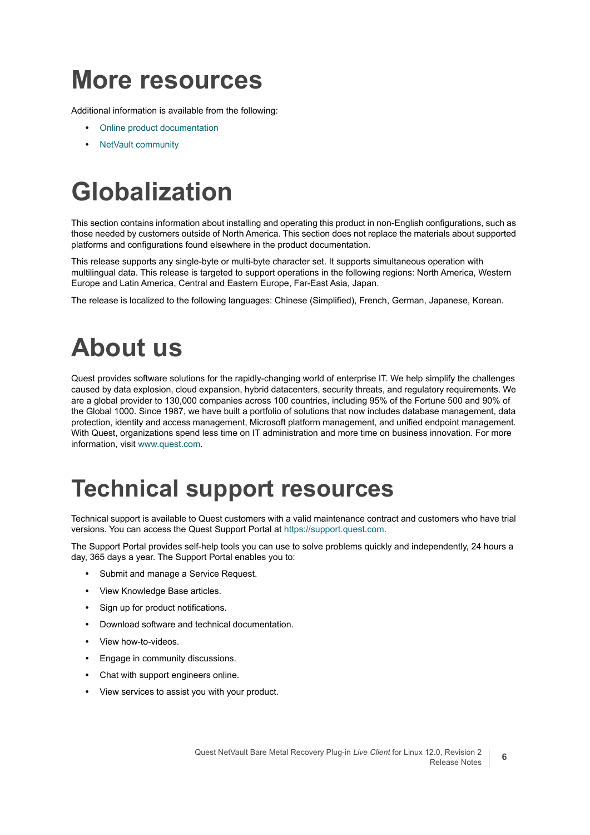### <span id="page-5-0"></span>**More resources**

Additional information is available from the following:

- **•** [Online product documentation](https://support.quest.com/technical-documents/)
- **•** [NetVault community](https://www.quest.com/community/products/netvault/)

# <span id="page-5-1"></span>**Globalization**

This section contains information about installing and operating this product in non-English configurations, such as those needed by customers outside of North America. This section does not replace the materials about supported platforms and configurations found elsewhere in the product documentation.

This release supports any single-byte or multi-byte character set. It supports simultaneous operation with multilingual data. This release is targeted to support operations in the following regions: North America, Western Europe and Latin America, Central and Eastern Europe, Far-East Asia, Japan.

The release is localized to the following languages: Chinese (Simplified), French, German, Japanese, Korean.

## <span id="page-5-2"></span>**About us**

Quest provides software solutions for the rapidly-changing world of enterprise IT. We help simplify the challenges caused by data explosion, cloud expansion, hybrid datacenters, security threats, and regulatory requirements. We are a global provider to 130,000 companies across 100 countries, including 95% of the Fortune 500 and 90% of the Global 1000. Since 1987, we have built a portfolio of solutions that now includes database management, data protection, identity and access management, Microsoft platform management, and unified endpoint management. With Quest, organizations spend less time on IT administration and more time on business innovation. For more information, visit [www.quest.com](https://www.quest.com/company/contact-us.aspx).

### **Technical support resources**

Technical support is available to Quest customers with a valid maintenance contract and customers who have trial versions. You can access the Quest Support Portal at [https://support.quest.com.](https://support.quest.com)

The Support Portal provides self-help tools you can use to solve problems quickly and independently, 24 hours a day, 365 days a year. The Support Portal enables you to:

- **•** Submit and manage a Service Request.
- **•** View Knowledge Base articles.
- **•** Sign up for product notifications.
- **•** Download software and technical documentation.
- **•** View how-to-videos.
- **•** Engage in community discussions.
- **•** Chat with support engineers online.
- **•** View services to assist you with your product.